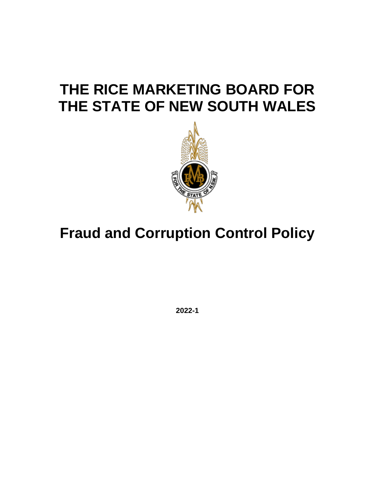# **THE RICE MARKETING BOARD FOR THE STATE OF NEW SOUTH WALES**



# **Fraud and Corruption Control Policy**

**2022-1**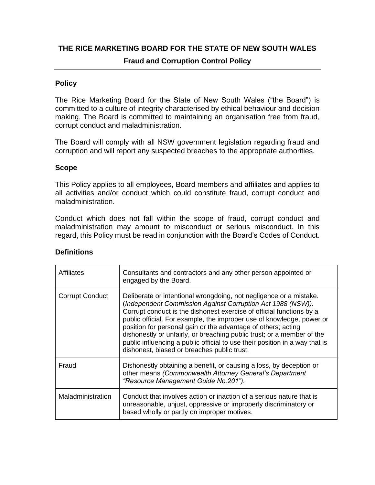## **THE RICE MARKETING BOARD FOR THE STATE OF NEW SOUTH WALES**

## **Fraud and Corruption Control Policy**

# **Policy**

The Rice Marketing Board for the State of New South Wales ("the Board") is committed to a culture of integrity characterised by ethical behaviour and decision making. The Board is committed to maintaining an organisation free from fraud, corrupt conduct and maladministration.

The Board will comply with all NSW government legislation regarding fraud and corruption and will report any suspected breaches to the appropriate authorities.

### **Scope**

This Policy applies to all employees, Board members and affiliates and applies to all activities and/or conduct which could constitute fraud, corrupt conduct and maladministration.

Conduct which does not fall within the scope of fraud, corrupt conduct and maladministration may amount to misconduct or serious misconduct. In this regard, this Policy must be read in conjunction with the Board's Codes of Conduct.

| Affiliates             | Consultants and contractors and any other person appointed or<br>engaged by the Board.                                                                                                                                                                                                                                                                                                                                                                                                                                                                      |
|------------------------|-------------------------------------------------------------------------------------------------------------------------------------------------------------------------------------------------------------------------------------------------------------------------------------------------------------------------------------------------------------------------------------------------------------------------------------------------------------------------------------------------------------------------------------------------------------|
| <b>Corrupt Conduct</b> | Deliberate or intentional wrongdoing, not negligence or a mistake.<br>(Independent Commission Against Corruption Act 1988 (NSW)).<br>Corrupt conduct is the dishonest exercise of official functions by a<br>public official. For example, the improper use of knowledge, power or<br>position for personal gain or the advantage of others; acting<br>dishonestly or unfairly, or breaching public trust; or a member of the<br>public influencing a public official to use their position in a way that is<br>dishonest, biased or breaches public trust. |
| Fraud                  | Dishonestly obtaining a benefit, or causing a loss, by deception or<br>other means (Commonwealth Attorney General's Department<br>"Resource Management Guide No.201").                                                                                                                                                                                                                                                                                                                                                                                      |
| Maladministration      | Conduct that involves action or inaction of a serious nature that is<br>unreasonable, unjust, oppressive or improperly discriminatory or<br>based wholly or partly on improper motives.                                                                                                                                                                                                                                                                                                                                                                     |

#### **Definitions**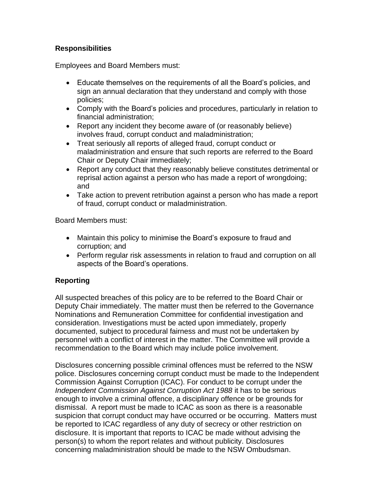# **Responsibilities**

Employees and Board Members must:

- Educate themselves on the requirements of all the Board's policies, and sign an annual declaration that they understand and comply with those policies;
- Comply with the Board's policies and procedures, particularly in relation to financial administration;
- Report any incident they become aware of (or reasonably believe) involves fraud, corrupt conduct and maladministration;
- Treat seriously all reports of alleged fraud, corrupt conduct or maladministration and ensure that such reports are referred to the Board Chair or Deputy Chair immediately;
- Report any conduct that they reasonably believe constitutes detrimental or reprisal action against a person who has made a report of wrongdoing; and
- Take action to prevent retribution against a person who has made a report of fraud, corrupt conduct or maladministration.

Board Members must:

- Maintain this policy to minimise the Board's exposure to fraud and corruption; and
- Perform regular risk assessments in relation to fraud and corruption on all aspects of the Board's operations.

# **Reporting**

All suspected breaches of this policy are to be referred to the Board Chair or Deputy Chair immediately. The matter must then be referred to the Governance Nominations and Remuneration Committee for confidential investigation and consideration. Investigations must be acted upon immediately, properly documented, subject to procedural fairness and must not be undertaken by personnel with a conflict of interest in the matter. The Committee will provide a recommendation to the Board which may include police involvement.

Disclosures concerning possible criminal offences must be referred to the NSW police. Disclosures concerning corrupt conduct must be made to the Independent Commission Against Corruption (ICAC). For conduct to be corrupt under the *Independent Commission Against Corruption Act 1988* it has to be serious enough to involve a criminal offence, a disciplinary offence or be grounds for dismissal. A report must be made to ICAC as soon as there is a reasonable suspicion that corrupt conduct may have occurred or be occurring. Matters must be reported to ICAC regardless of any duty of secrecy or other restriction on disclosure. It is important that reports to ICAC be made without advising the person(s) to whom the report relates and without publicity. Disclosures concerning maladministration should be made to the NSW Ombudsman.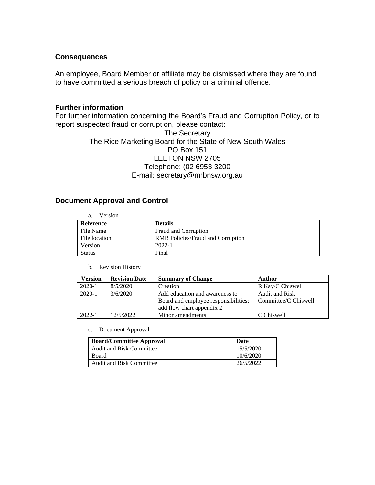#### **Consequences**

An employee, Board Member or affiliate may be dismissed where they are found to have committed a serious breach of policy or a criminal offence.

### **Further information**

For further information concerning the Board's Fraud and Corruption Policy, or to report suspected fraud or corruption, please contact:

### The Secretary The Rice Marketing Board for the State of New South Wales PO Box 151 LEETON NSW 2705 Telephone: (02 6953 3200 E-mail: secretary@rmbnsw.org.au

#### **Document Approval and Control**

| Version<br>a. |                                          |
|---------------|------------------------------------------|
| Reference     | <b>Details</b>                           |
| File Name     | Fraud and Corruption                     |
| File location | <b>RMB</b> Policies/Fraud and Corruption |
| Version       | $2022 - 1$                               |
| <b>Status</b> | Final                                    |

#### b. Revision History

| Version    | <b>Revision Date</b> | <b>Summary of Change</b>                                                                            | Author                                 |
|------------|----------------------|-----------------------------------------------------------------------------------------------------|----------------------------------------|
| $2020-1$   | 8/5/2020             | Creation                                                                                            | R Kay/C Chiswell                       |
| $2020-1$   | 3/6/2020             | Add education and awareness to<br>Board and employee responsibilities;<br>add flow chart appendix 2 | Audit and Risk<br>Committee/C Chiswell |
| $2022 - 1$ | 12/5/2022            | Minor amendments                                                                                    | C Chiswell                             |

#### c. Document Approval

| <b>Board/Committee Approval</b> | Date      |
|---------------------------------|-----------|
| <b>Audit and Risk Committee</b> | 15/5/2020 |
| Board                           | 10/6/2020 |
| <b>Audit and Risk Committee</b> | 26/5/2022 |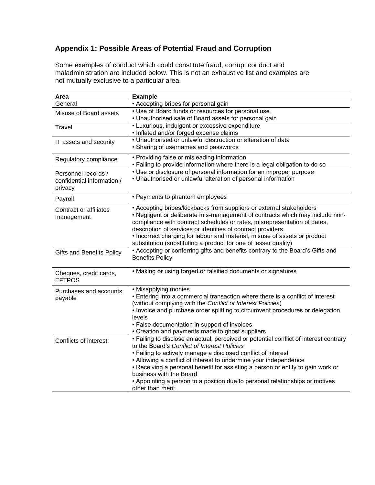# **Appendix 1: Possible Areas of Potential Fraud and Corruption**

Some examples of conduct which could constitute fraud, corrupt conduct and maladministration are included below. This is not an exhaustive list and examples are not mutually exclusive to a particular area.

| Area                             | <b>Example</b>                                                                                           |
|----------------------------------|----------------------------------------------------------------------------------------------------------|
| General                          | • Accepting bribes for personal gain                                                                     |
| Misuse of Board assets           | • Use of Board funds or resources for personal use                                                       |
|                                  | • Unauthorised sale of Board assets for personal gain                                                    |
| <b>Travel</b>                    | • Luxurious, indulgent or excessive expenditure                                                          |
|                                  | • Inflated and/or forged expense claims                                                                  |
| IT assets and security           | • Unauthorised or unlawful destruction or alteration of data                                             |
|                                  | • Sharing of usernames and passwords                                                                     |
| Regulatory compliance            | • Providing false or misleading information                                                              |
|                                  | • Failing to provide information where there is a legal obligation to do so                              |
| Personnel records /              | • Use or disclosure of personal information for an improper purpose                                      |
| confidential information /       | • Unauthorised or unlawful alteration of personal information                                            |
| privacy                          |                                                                                                          |
|                                  | • Payments to phantom employees                                                                          |
| Payroll                          |                                                                                                          |
| <b>Contract or affiliates</b>    | • Accepting bribes/kickbacks from suppliers or external stakeholders                                     |
| management                       | . Negligent or deliberate mis-management of contracts which may include non-                             |
|                                  | compliance with contract schedules or rates, misrepresentation of dates,                                 |
|                                  | description of services or identities of contract providers                                              |
|                                  | • Incorrect charging for labour and material, misuse of assets or product                                |
|                                  | substitution (substituting a product for one of lesser quality)                                          |
| <b>Gifts and Benefits Policy</b> | • Accepting or conferring gifts and benefits contrary to the Board's Gifts and<br><b>Benefits Policy</b> |
|                                  |                                                                                                          |
| Cheques, credit cards,           | • Making or using forged or falsified documents or signatures                                            |
| <b>EFTPOS</b>                    |                                                                                                          |
|                                  |                                                                                                          |
| Purchases and accounts           | • Misapplying monies<br>• Entering into a commercial transaction where there is a conflict of interest   |
| payable                          | (without complying with the Conflict of Interest Policies)                                               |
|                                  | • Invoice and purchase order splitting to circumvent procedures or delegation                            |
|                                  | levels                                                                                                   |
|                                  | • False documentation in support of invoices                                                             |
|                                  | • Creation and payments made to ghost suppliers                                                          |
| Conflicts of interest            | • Failing to disclose an actual, perceived or potential conflict of interest contrary                    |
|                                  | to the Board's Conflict of Interest Policies                                                             |
|                                  | • Failing to actively manage a disclosed conflict of interest                                            |
|                                  | • Allowing a conflict of interest to undermine your independence                                         |
|                                  | • Receiving a personal benefit for assisting a person or entity to gain work or                          |
|                                  | business with the Board                                                                                  |
|                                  | • Appointing a person to a position due to personal relationships or motives                             |
|                                  | other than merit.                                                                                        |